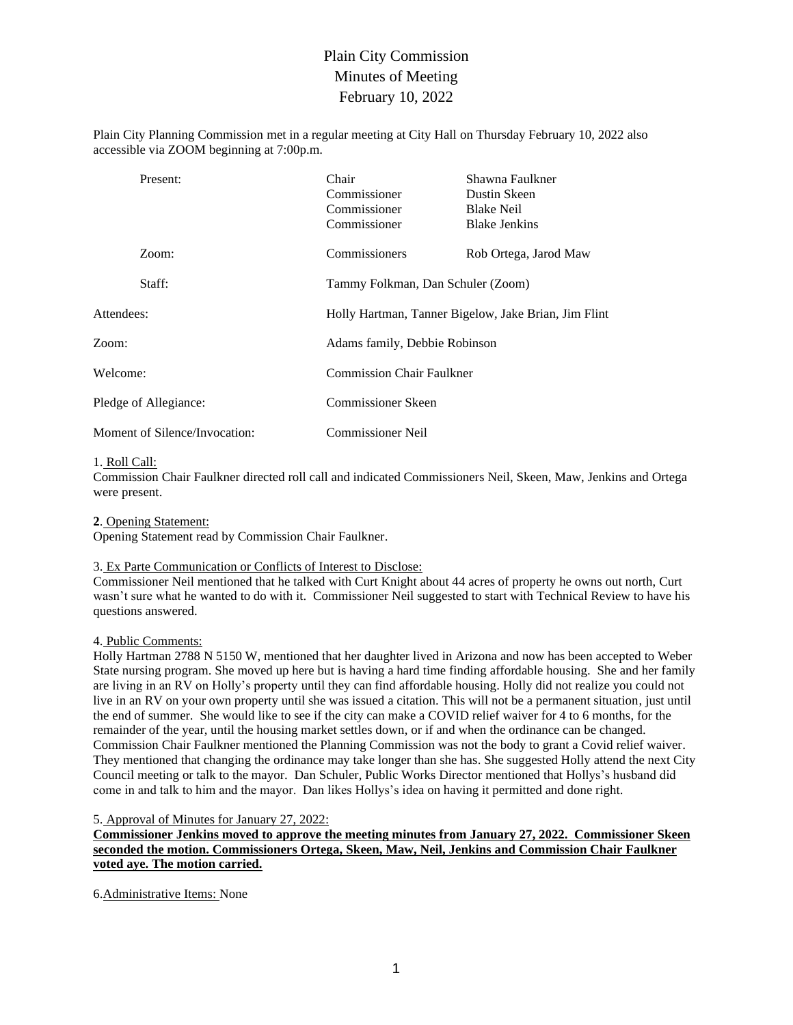# Plain City Commission Minutes of Meeting February 10, 2022

Plain City Planning Commission met in a regular meeting at City Hall on Thursday February 10, 2022 also accessible via ZOOM beginning at 7:00p.m.

| Present:                      | Chair<br>Commissioner<br>Commissioner<br>Commissioner | Shawna Faulkner<br>Dustin Skeen<br><b>Blake Neil</b><br><b>Blake Jenkins</b> |  |  |
|-------------------------------|-------------------------------------------------------|------------------------------------------------------------------------------|--|--|
| Zoom:                         | Commissioners                                         | Rob Ortega, Jarod Maw                                                        |  |  |
| Staff:                        |                                                       | Tammy Folkman, Dan Schuler (Zoom)                                            |  |  |
| Attendees:                    |                                                       | Holly Hartman, Tanner Bigelow, Jake Brian, Jim Flint                         |  |  |
| Zoom:                         |                                                       | Adams family, Debbie Robinson                                                |  |  |
| Welcome:                      |                                                       | <b>Commission Chair Faulkner</b>                                             |  |  |
| Pledge of Allegiance:         | <b>Commissioner Skeen</b>                             |                                                                              |  |  |
| Moment of Silence/Invocation: | <b>Commissioner Neil</b>                              |                                                                              |  |  |

## 1. Roll Call:

Commission Chair Faulkner directed roll call and indicated Commissioners Neil, Skeen, Maw, Jenkins and Ortega were present.

**2**. Opening Statement:

Opening Statement read by Commission Chair Faulkner.

## 3. Ex Parte Communication or Conflicts of Interest to Disclose:

Commissioner Neil mentioned that he talked with Curt Knight about 44 acres of property he owns out north, Curt wasn't sure what he wanted to do with it. Commissioner Neil suggested to start with Technical Review to have his questions answered.

## 4. Public Comments:

Holly Hartman 2788 N 5150 W, mentioned that her daughter lived in Arizona and now has been accepted to Weber State nursing program. She moved up here but is having a hard time finding affordable housing. She and her family are living in an RV on Holly's property until they can find affordable housing. Holly did not realize you could not live in an RV on your own property until she was issued a citation. This will not be a permanent situation, just until the end of summer. She would like to see if the city can make a COVID relief waiver for 4 to 6 months, for the remainder of the year, until the housing market settles down, or if and when the ordinance can be changed. Commission Chair Faulkner mentioned the Planning Commission was not the body to grant a Covid relief waiver. They mentioned that changing the ordinance may take longer than she has. She suggested Holly attend the next City Council meeting or talk to the mayor. Dan Schuler, Public Works Director mentioned that Hollys's husband did come in and talk to him and the mayor. Dan likes Hollys's idea on having it permitted and done right.

#### 5. Approval of Minutes for January 27, 2022:

**Commissioner Jenkins moved to approve the meeting minutes from January 27, 2022. Commissioner Skeen seconded the motion. Commissioners Ortega, Skeen, Maw, Neil, Jenkins and Commission Chair Faulkner voted aye. The motion carried.**

6.Administrative Items: None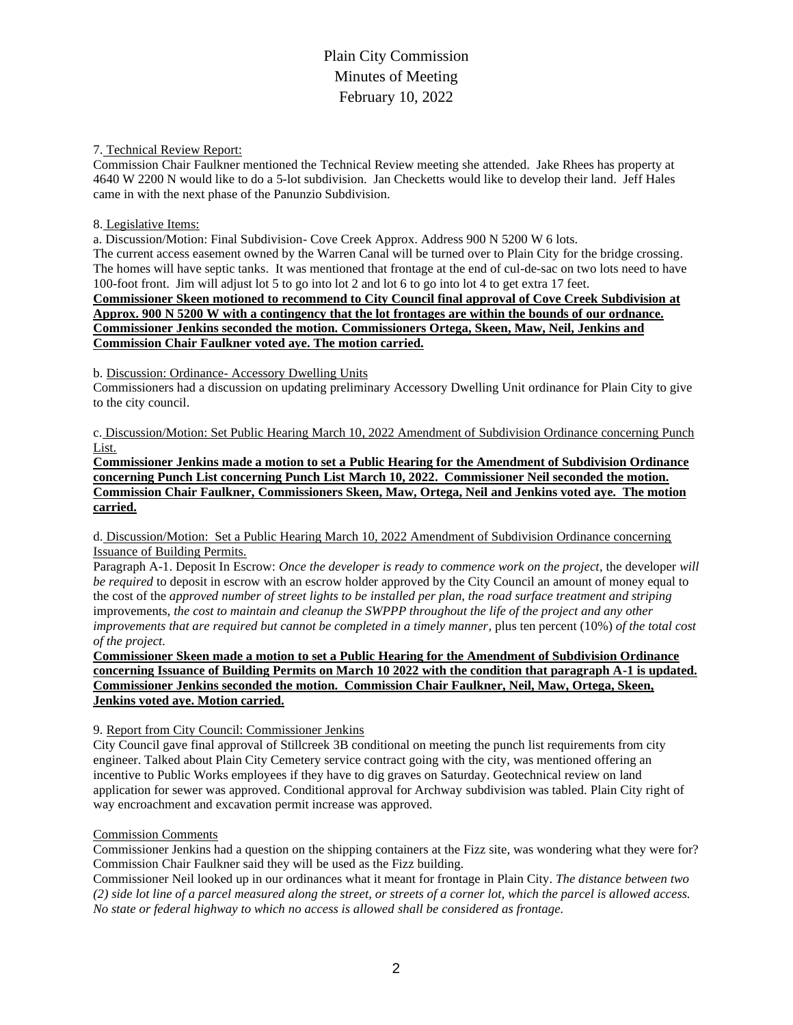# Plain City Commission Minutes of Meeting February 10, 2022

### 7. Technical Review Report:

Commission Chair Faulkner mentioned the Technical Review meeting she attended. Jake Rhees has property at 4640 W 2200 N would like to do a 5-lot subdivision. Jan Checketts would like to develop their land. Jeff Hales came in with the next phase of the Panunzio Subdivision.

### 8. Legislative Items:

a. Discussion/Motion: Final Subdivision- Cove Creek Approx. Address 900 N 5200 W 6 lots.

The current access easement owned by the Warren Canal will be turned over to Plain City for the bridge crossing. The homes will have septic tanks. It was mentioned that frontage at the end of cul-de-sac on two lots need to have 100-foot front. Jim will adjust lot 5 to go into lot 2 and lot 6 to go into lot 4 to get extra 17 feet.

**Commissioner Skeen motioned to recommend to City Council final approval of Cove Creek Subdivision at Approx. 900 N 5200 W with a contingency that the lot frontages are within the bounds of our ordnance. Commissioner Jenkins seconded the motion. Commissioners Ortega, Skeen, Maw, Neil, Jenkins and Commission Chair Faulkner voted aye. The motion carried.**

b. Discussion: Ordinance- Accessory Dwelling Units

Commissioners had a discussion on updating preliminary Accessory Dwelling Unit ordinance for Plain City to give to the city council.

c. Discussion/Motion: Set Public Hearing March 10, 2022 Amendment of Subdivision Ordinance concerning Punch List.

**Commissioner Jenkins made a motion to set a Public Hearing for the Amendment of Subdivision Ordinance concerning Punch List concerning Punch List March 10, 2022. Commissioner Neil seconded the motion. Commission Chair Faulkner, Commissioners Skeen, Maw, Ortega, Neil and Jenkins voted aye. The motion carried.** 

d. Discussion/Motion: Set a Public Hearing March 10, 2022 Amendment of Subdivision Ordinance concerning Issuance of Building Permits.

Paragraph A-1. Deposit In Escrow: *Once the developer is ready to commence work on the project*, the developer *will be required* to deposit in escrow with an escrow holder approved by the City Council an amount of money equal to the cost of the *approved number of street lights to be installed per plan, the road surface treatment and striping*  improvements, *the cost to maintain and cleanup the SWPPP throughout the life of the project and any other improvements that are required but cannot be completed in a timely manner,* plus ten percent (10%) *of the total cost of the project.*

**Commissioner Skeen made a motion to set a Public Hearing for the Amendment of Subdivision Ordinance concerning Issuance of Building Permits on March 10 2022 with the condition that paragraph A-1 is updated. Commissioner Jenkins seconded the motion. Commission Chair Faulkner, Neil, Maw, Ortega, Skeen, Jenkins voted aye. Motion carried.** 

## 9. Report from City Council: Commissioner Jenkins

City Council gave final approval of Stillcreek 3B conditional on meeting the punch list requirements from city engineer. Talked about Plain City Cemetery service contract going with the city, was mentioned offering an incentive to Public Works employees if they have to dig graves on Saturday. Geotechnical review on land application for sewer was approved. Conditional approval for Archway subdivision was tabled. Plain City right of way encroachment and excavation permit increase was approved.

## Commission Comments

Commissioner Jenkins had a question on the shipping containers at the Fizz site, was wondering what they were for? Commission Chair Faulkner said they will be used as the Fizz building.

Commissioner Neil looked up in our ordinances what it meant for frontage in Plain City. *The distance between two (2) side lot line of a parcel measured along the street, or streets of a corner lot, which the parcel is allowed access. No state or federal highway to which no access is allowed shall be considered as frontage.*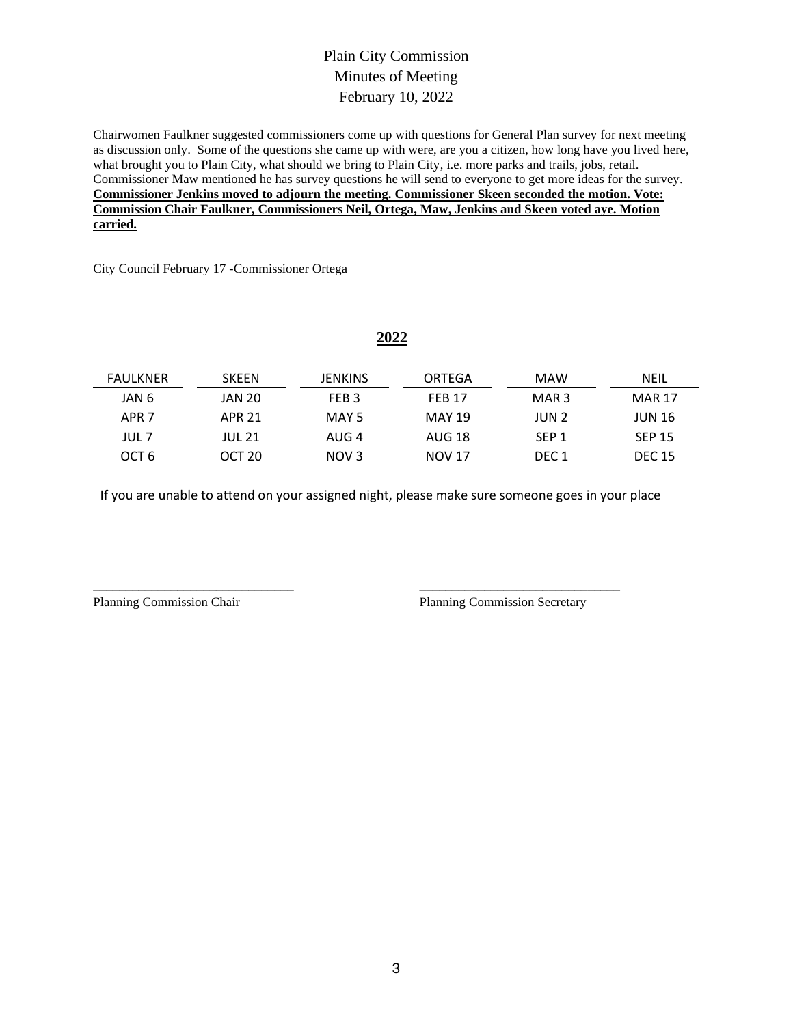## Plain City Commission Minutes of Meeting February 10, 2022

Chairwomen Faulkner suggested commissioners come up with questions for General Plan survey for next meeting as discussion only. Some of the questions she came up with were, are you a citizen, how long have you lived here, what brought you to Plain City, what should we bring to Plain City, i.e. more parks and trails, jobs, retail. Commissioner Maw mentioned he has survey questions he will send to everyone to get more ideas for the survey. **Commissioner Jenkins moved to adjourn the meeting. Commissioner Skeen seconded the motion. Vote: Commission Chair Faulkner, Commissioners Neil, Ortega, Maw, Jenkins and Skeen voted aye. Motion carried.**

City Council February 17 -Commissioner Ortega

## **2022**

| <b>FAULKNER</b>  | <b>SKEEN</b>      | <b>JENKINS</b>   | ORTEGA        | MAW              | NEIL          |
|------------------|-------------------|------------------|---------------|------------------|---------------|
| JAN 6            | JAN 20            | FEB <sub>3</sub> | <b>FFB 17</b> | MAR <sub>3</sub> | <b>MAR 17</b> |
| APR <sub>7</sub> | APR 21            | MAY 5            | <b>MAY 19</b> | JUN 2            | <b>JUN 16</b> |
| JUL 7            | JUL 21            | AUG 4            | AUG 18        | SEP <sub>1</sub> | <b>SEP 15</b> |
| OCT <sub>6</sub> | OCT <sub>20</sub> | NOV <sub>3</sub> | <b>NOV 17</b> | DEC <sub>1</sub> | <b>DEC 15</b> |

If you are unable to attend on your assigned night, please make sure someone goes in your place

\_\_\_\_\_\_\_\_\_\_\_\_\_\_\_\_\_\_\_\_\_\_\_\_\_\_\_\_\_\_\_ \_\_\_\_\_\_\_\_\_\_\_\_\_\_\_\_\_\_\_\_\_\_\_\_\_\_\_\_\_\_\_

Planning Commission Chair Planning Commission Secretary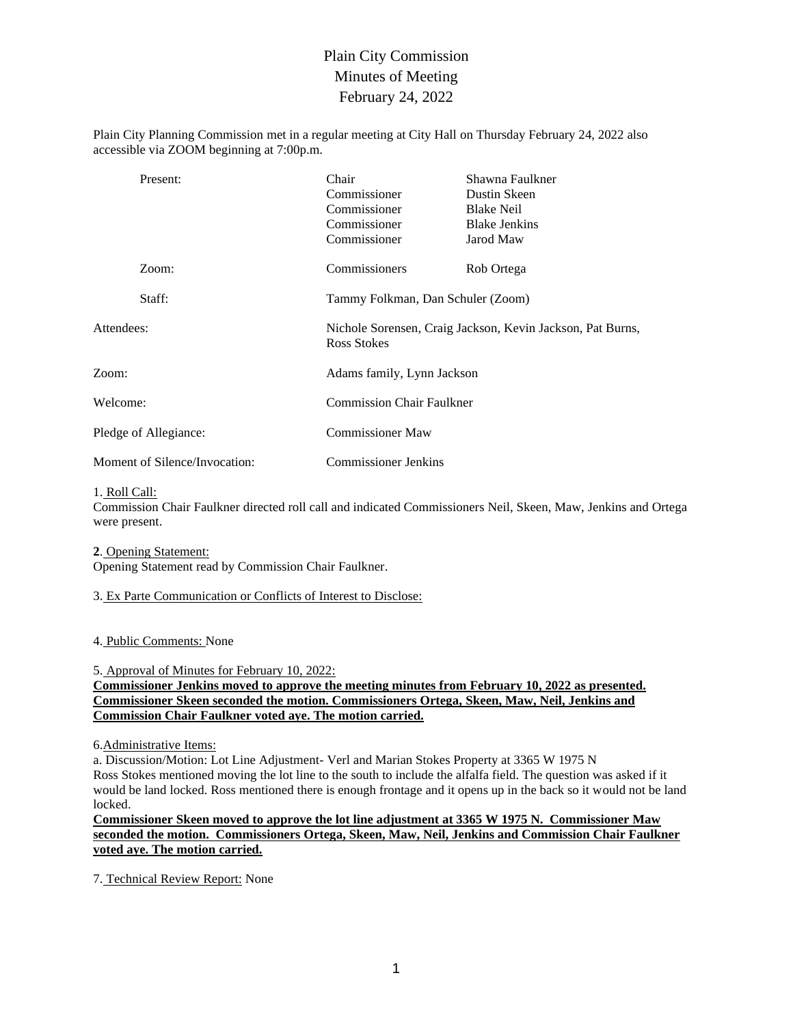# Plain City Commission Minutes of Meeting February 24, 2022

Plain City Planning Commission met in a regular meeting at City Hall on Thursday February 24, 2022 also accessible via ZOOM beginning at 7:00p.m.

| Present:                      | Chair<br>Commissioner<br>Commissioner<br>Commissioner<br>Commissioner            | Shawna Faulkner<br>Dustin Skeen<br><b>Blake Neil</b><br><b>Blake Jenkins</b><br>Jarod Maw |  |
|-------------------------------|----------------------------------------------------------------------------------|-------------------------------------------------------------------------------------------|--|
| Zoom:                         | Commissioners                                                                    | Rob Ortega                                                                                |  |
| Staff:                        | Tammy Folkman, Dan Schuler (Zoom)                                                |                                                                                           |  |
| Attendees:                    | Nichole Sorensen, Craig Jackson, Kevin Jackson, Pat Burns,<br><b>Ross Stokes</b> |                                                                                           |  |
| Zoom:                         | Adams family, Lynn Jackson                                                       |                                                                                           |  |
| Welcome:                      | <b>Commission Chair Faulkner</b>                                                 |                                                                                           |  |
| Pledge of Allegiance:         | <b>Commissioner Maw</b>                                                          |                                                                                           |  |
| Moment of Silence/Invocation: | <b>Commissioner Jenkins</b>                                                      |                                                                                           |  |

#### 1. Roll Call:

Commission Chair Faulkner directed roll call and indicated Commissioners Neil, Skeen, Maw, Jenkins and Ortega were present.

#### **2**. Opening Statement:

Opening Statement read by Commission Chair Faulkner.

## 3. Ex Parte Communication or Conflicts of Interest to Disclose:

#### 4. Public Comments: None

5. Approval of Minutes for February 10, 2022:

## **Commissioner Jenkins moved to approve the meeting minutes from February 10, 2022 as presented. Commissioner Skeen seconded the motion. Commissioners Ortega, Skeen, Maw, Neil, Jenkins and Commission Chair Faulkner voted aye. The motion carried.**

#### 6.Administrative Items:

a. Discussion/Motion: Lot Line Adjustment- Verl and Marian Stokes Property at 3365 W 1975 N Ross Stokes mentioned moving the lot line to the south to include the alfalfa field. The question was asked if it would be land locked. Ross mentioned there is enough frontage and it opens up in the back so it would not be land locked.

**Commissioner Skeen moved to approve the lot line adjustment at 3365 W 1975 N. Commissioner Maw seconded the motion. Commissioners Ortega, Skeen, Maw, Neil, Jenkins and Commission Chair Faulkner voted aye. The motion carried.**

7. Technical Review Report: None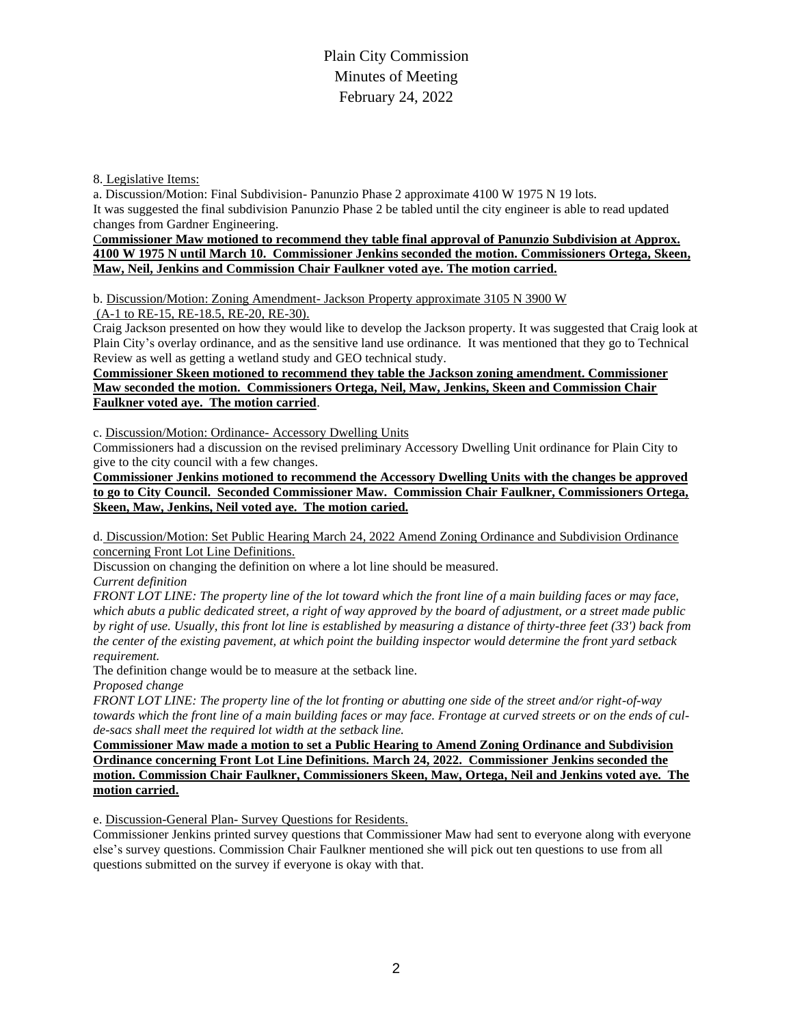## Plain City Commission Minutes of Meeting February 24, 2022

8. Legislative Items:

a. Discussion/Motion: Final Subdivision- Panunzio Phase 2 approximate 4100 W 1975 N 19 lots. It was suggested the final subdivision Panunzio Phase 2 be tabled until the city engineer is able to read updated changes from Gardner Engineering.

#### C**ommissioner Maw motioned to recommend they table final approval of Panunzio Subdivision at Approx. 4100 W 1975 N until March 10. Commissioner Jenkins seconded the motion. Commissioners Ortega, Skeen, Maw, Neil, Jenkins and Commission Chair Faulkner voted aye. The motion carried.**

b. Discussion/Motion: Zoning Amendment- Jackson Property approximate 3105 N 3900 W

(A-1 to RE-15, RE-18.5, RE-20, RE-30).

Craig Jackson presented on how they would like to develop the Jackson property. It was suggested that Craig look at Plain City's overlay ordinance, and as the sensitive land use ordinance. It was mentioned that they go to Technical Review as well as getting a wetland study and GEO technical study.

## **Commissioner Skeen motioned to recommend they table the Jackson zoning amendment. Commissioner Maw seconded the motion. Commissioners Ortega, Neil, Maw, Jenkins, Skeen and Commission Chair Faulkner voted aye. The motion carried**.

c. Discussion/Motion: Ordinance- Accessory Dwelling Units

Commissioners had a discussion on the revised preliminary Accessory Dwelling Unit ordinance for Plain City to give to the city council with a few changes.

**Commissioner Jenkins motioned to recommend the Accessory Dwelling Units with the changes be approved to go to City Council. Seconded Commissioner Maw. Commission Chair Faulkner, Commissioners Ortega, Skeen, Maw, Jenkins, Neil voted aye. The motion caried.**

d. Discussion/Motion: Set Public Hearing March 24, 2022 Amend Zoning Ordinance and Subdivision Ordinance concerning Front Lot Line Definitions.

Discussion on changing the definition on where a lot line should be measured.

*Current definition*

*FRONT LOT LINE: The property line of the lot toward which the front line of a main building faces or may face, which abuts a public dedicated street, a right of way approved by the board of adjustment, or a street made public by right of use. Usually, this front lot line is established by measuring a distance of thirty-three feet (33') back from the center of the existing pavement, at which point the building inspector would determine the front yard setback requirement.*

The definition change would be to measure at the setback line.

*Proposed change*

*FRONT LOT LINE: The property line of the lot fronting or abutting one side of the street and/or right-of-way towards which the front line of a main building faces or may face. Frontage at curved streets or on the ends of culde-sacs shall meet the required lot width at the setback line.*

**Commissioner Maw made a motion to set a Public Hearing to Amend Zoning Ordinance and Subdivision Ordinance concerning Front Lot Line Definitions. March 24, 2022. Commissioner Jenkins seconded the motion. Commission Chair Faulkner, Commissioners Skeen, Maw, Ortega, Neil and Jenkins voted aye. The motion carried.** 

e. Discussion-General Plan- Survey Questions for Residents.

Commissioner Jenkins printed survey questions that Commissioner Maw had sent to everyone along with everyone else's survey questions. Commission Chair Faulkner mentioned she will pick out ten questions to use from all questions submitted on the survey if everyone is okay with that.